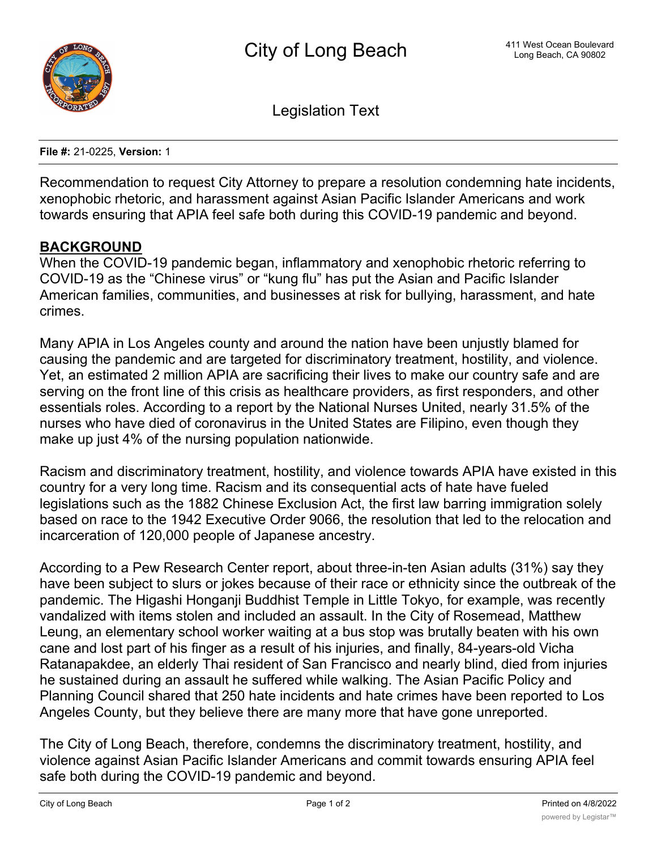

Legislation Text

**File #:** 21-0225, **Version:** 1

Recommendation to request City Attorney to prepare a resolution condemning hate incidents, xenophobic rhetoric, and harassment against Asian Pacific Islander Americans and work towards ensuring that APIA feel safe both during this COVID-19 pandemic and beyond.

## **BACKGROUND**

When the COVID-19 pandemic began, inflammatory and xenophobic rhetoric referring to COVID-19 as the "Chinese virus" or "kung flu" has put the Asian and Pacific Islander American families, communities, and businesses at risk for bullying, harassment, and hate crimes.

Many APIA in Los Angeles county and around the nation have been unjustly blamed for causing the pandemic and are targeted for discriminatory treatment, hostility, and violence. Yet, an estimated 2 million APIA are sacrificing their lives to make our country safe and are serving on the front line of this crisis as healthcare providers, as first responders, and other essentials roles. According to a report by the National Nurses United, nearly 31.5% of the nurses who have died of coronavirus in the United States are Filipino, even though they make up just 4% of the nursing population nationwide.

Racism and discriminatory treatment, hostility, and violence towards APIA have existed in this country for a very long time. Racism and its consequential acts of hate have fueled legislations such as the 1882 Chinese Exclusion Act, the first law barring immigration solely based on race to the 1942 Executive Order 9066, the resolution that led to the relocation and incarceration of 120,000 people of Japanese ancestry.

According to a Pew Research Center report, about three-in-ten Asian adults (31%) say they have been subject to slurs or jokes because of their race or ethnicity since the outbreak of the pandemic. The Higashi Honganji Buddhist Temple in Little Tokyo, for example, was recently vandalized with items stolen and included an assault. In the City of Rosemead, Matthew Leung, an elementary school worker waiting at a bus stop was brutally beaten with his own cane and lost part of his finger as a result of his injuries, and finally, 84-years-old Vicha Ratanapakdee, an elderly Thai resident of San Francisco and nearly blind, died from injuries he sustained during an assault he suffered while walking. The Asian Pacific Policy and Planning Council shared that 250 hate incidents and hate crimes have been reported to Los Angeles County, but they believe there are many more that have gone unreported.

The City of Long Beach, therefore, condemns the discriminatory treatment, hostility, and violence against Asian Pacific Islander Americans and commit towards ensuring APIA feel safe both during the COVID-19 pandemic and beyond.